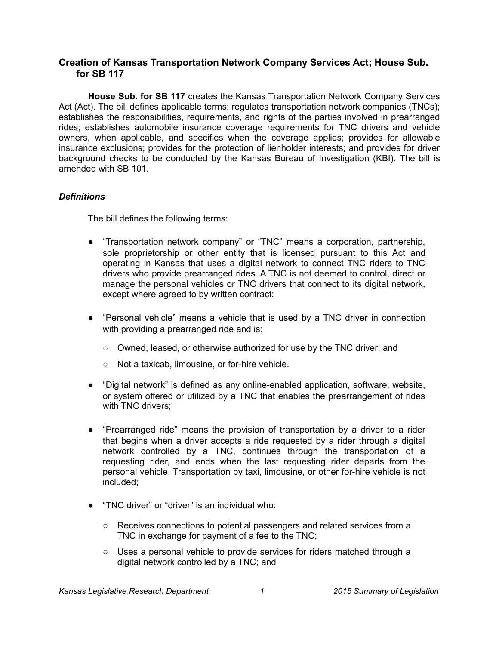# **Creation of Kansas Transportation Network Company Services Act; House Sub. for SB 117**

**House Sub. for SB 117** creates the Kansas Transportation Network Company Services Act (Act). The bill defines applicable terms; regulates transportation network companies (TNCs); establishes the responsibilities, requirements, and rights of the parties involved in prearranged rides; establishes automobile insurance coverage requirements for TNC drivers and vehicle owners, when applicable, and specifies when the coverage applies; provides for allowable insurance exclusions; provides for the protection of lienholder interests; and provides for driver background checks to be conducted by the Kansas Bureau of Investigation (KBI). The bill is amended with SB 101.

## *Definitions*

The bill defines the following terms:

- "Transportation network company" or "TNC" means a corporation, partnership, sole proprietorship or other entity that is licensed pursuant to this Act and operating in Kansas that uses a digital network to connect TNC riders to TNC drivers who provide prearranged rides. A TNC is not deemed to control, direct or manage the personal vehicles or TNC drivers that connect to its digital network, except where agreed to by written contract;
- "Personal vehicle" means a vehicle that is used by a TNC driver in connection with providing a prearranged ride and is:
	- Owned, leased, or otherwise authorized for use by the TNC driver; and
	- Not a taxicab, limousine, or for-hire vehicle.
- "Digital network" is defined as any online-enabled application, software, website, or system offered or utilized by a TNC that enables the prearrangement of rides with TNC drivers:
- "Prearranged ride" means the provision of transportation by a driver to a rider that begins when a driver accepts a ride requested by a rider through a digital network controlled by a TNC, continues through the transportation of a requesting rider, and ends when the last requesting rider departs from the personal vehicle. Transportation by taxi, limousine, or other for-hire vehicle is not included;
- "TNC driver" or "driver" is an individual who:
	- Receives connections to potential passengers and related services from a TNC in exchange for payment of a fee to the TNC;
	- Uses a personal vehicle to provide services for riders matched through a digital network controlled by a TNC; and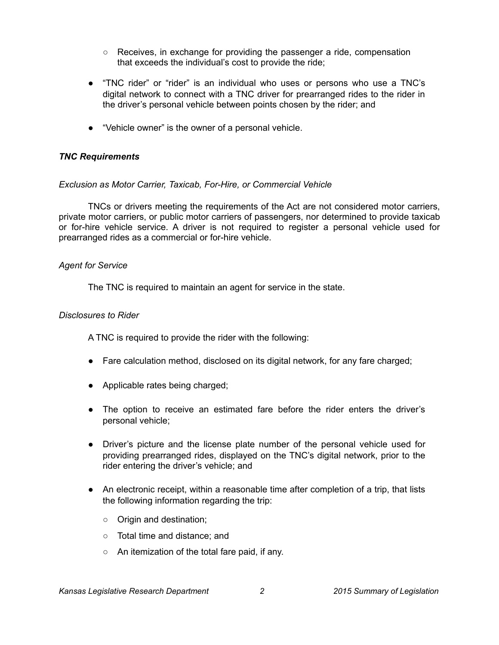- Receives, in exchange for providing the passenger a ride, compensation that exceeds the individual's cost to provide the ride;
- "TNC rider" or "rider" is an individual who uses or persons who use a TNC's digital network to connect with a TNC driver for prearranged rides to the rider in the driver's personal vehicle between points chosen by the rider; and
- "Vehicle owner" is the owner of a personal vehicle.

## *TNC Requirements*

### *Exclusion as Motor Carrier, Taxicab, For-Hire, or Commercial Vehicle*

TNCs or drivers meeting the requirements of the Act are not considered motor carriers, private motor carriers, or public motor carriers of passengers, nor determined to provide taxicab or for-hire vehicle service. A driver is not required to register a personal vehicle used for prearranged rides as a commercial or for-hire vehicle.

### *Agent for Service*

The TNC is required to maintain an agent for service in the state.

### *Disclosures to Rider*

A TNC is required to provide the rider with the following:

- Fare calculation method, disclosed on its digital network, for any fare charged;
- Applicable rates being charged;
- The option to receive an estimated fare before the rider enters the driver's personal vehicle;
- Driver's picture and the license plate number of the personal vehicle used for providing prearranged rides, displayed on the TNC's digital network, prior to the rider entering the driver's vehicle; and
- An electronic receipt, within a reasonable time after completion of a trip, that lists the following information regarding the trip:
	- Origin and destination;
	- Total time and distance; and
	- An itemization of the total fare paid, if any.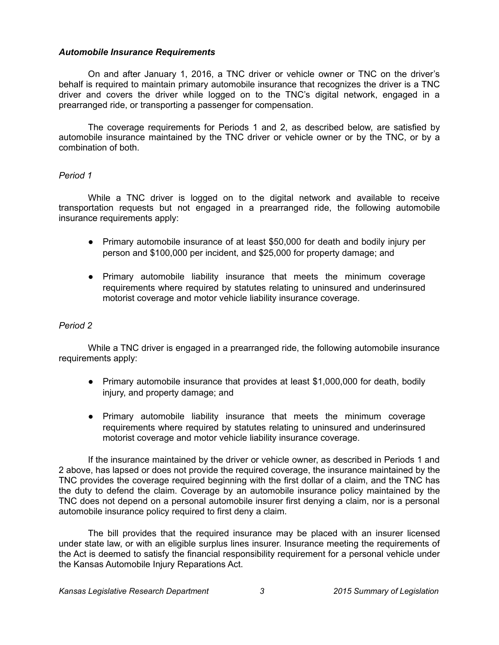### *Automobile Insurance Requirements*

On and after January 1, 2016, a TNC driver or vehicle owner or TNC on the driver's behalf is required to maintain primary automobile insurance that recognizes the driver is a TNC driver and covers the driver while logged on to the TNC's digital network, engaged in a prearranged ride, or transporting a passenger for compensation.

The coverage requirements for Periods 1 and 2, as described below, are satisfied by automobile insurance maintained by the TNC driver or vehicle owner or by the TNC, or by a combination of both.

### *Period 1*

While a TNC driver is logged on to the digital network and available to receive transportation requests but not engaged in a prearranged ride, the following automobile insurance requirements apply:

- Primary automobile insurance of at least \$50,000 for death and bodily injury per person and \$100,000 per incident, and \$25,000 for property damage; and
- Primary automobile liability insurance that meets the minimum coverage requirements where required by statutes relating to uninsured and underinsured motorist coverage and motor vehicle liability insurance coverage.

#### *Period 2*

While a TNC driver is engaged in a prearranged ride, the following automobile insurance requirements apply:

- Primary automobile insurance that provides at least \$1,000,000 for death, bodily injury, and property damage; and
- Primary automobile liability insurance that meets the minimum coverage requirements where required by statutes relating to uninsured and underinsured motorist coverage and motor vehicle liability insurance coverage.

If the insurance maintained by the driver or vehicle owner, as described in Periods 1 and 2 above, has lapsed or does not provide the required coverage, the insurance maintained by the TNC provides the coverage required beginning with the first dollar of a claim, and the TNC has the duty to defend the claim. Coverage by an automobile insurance policy maintained by the TNC does not depend on a personal automobile insurer first denying a claim, nor is a personal automobile insurance policy required to first deny a claim.

The bill provides that the required insurance may be placed with an insurer licensed under state law, or with an eligible surplus lines insurer. Insurance meeting the requirements of the Act is deemed to satisfy the financial responsibility requirement for a personal vehicle under the Kansas Automobile Injury Reparations Act.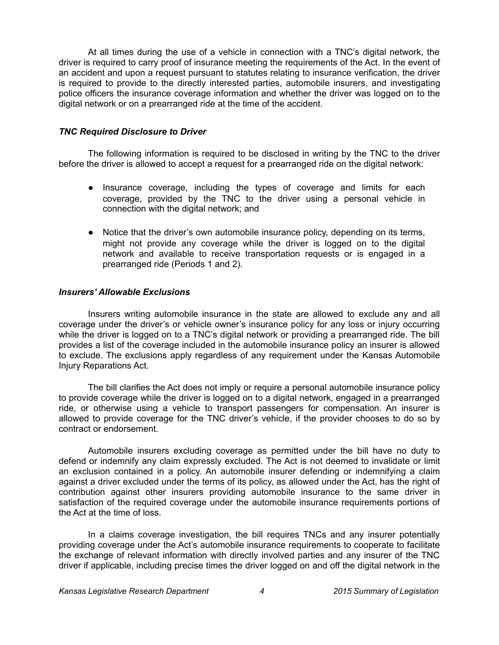At all times during the use of a vehicle in connection with a TNC's digital network, the driver is required to carry proof of insurance meeting the requirements of the Act. In the event of an accident and upon a request pursuant to statutes relating to insurance verification, the driver is required to provide to the directly interested parties, automobile insurers, and investigating police officers the insurance coverage information and whether the driver was logged on to the digital network or on a prearranged ride at the time of the accident.

### *TNC Required Disclosure to Driver*

The following information is required to be disclosed in writing by the TNC to the driver before the driver is allowed to accept a request for a prearranged ride on the digital network:

- Insurance coverage, including the types of coverage and limits for each coverage, provided by the TNC to the driver using a personal vehicle in connection with the digital network; and
- Notice that the driver's own automobile insurance policy, depending on its terms, might not provide any coverage while the driver is logged on to the digital network and available to receive transportation requests or is engaged in a prearranged ride (Periods 1 and 2).

### *Insurers' Allowable Exclusions*

Insurers writing automobile insurance in the state are allowed to exclude any and all coverage under the driver's or vehicle owner's insurance policy for any loss or injury occurring while the driver is logged on to a TNC's digital network or providing a prearranged ride. The bill provides a list of the coverage included in the automobile insurance policy an insurer is allowed to exclude. The exclusions apply regardless of any requirement under the Kansas Automobile Injury Reparations Act.

The bill clarifies the Act does not imply or require a personal automobile insurance policy to provide coverage while the driver is logged on to a digital network, engaged in a prearranged ride, or otherwise using a vehicle to transport passengers for compensation. An insurer is allowed to provide coverage for the TNC driver's vehicle, if the provider chooses to do so by contract or endorsement.

Automobile insurers excluding coverage as permitted under the bill have no duty to defend or indemnify any claim expressly excluded. The Act is not deemed to invalidate or limit an exclusion contained in a policy. An automobile insurer defending or indemnifying a claim against a driver excluded under the terms of its policy, as allowed under the Act, has the right of contribution against other insurers providing automobile insurance to the same driver in satisfaction of the required coverage under the automobile insurance requirements portions of the Act at the time of loss.

In a claims coverage investigation, the bill requires TNCs and any insurer potentially providing coverage under the Act's automobile insurance requirements to cooperate to facilitate the exchange of relevant information with directly involved parties and any insurer of the TNC driver if applicable, including precise times the driver logged on and off the digital network in the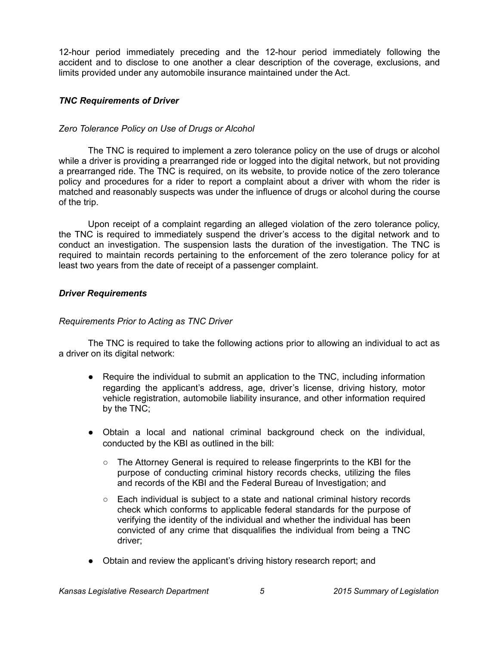12-hour period immediately preceding and the 12-hour period immediately following the accident and to disclose to one another a clear description of the coverage, exclusions, and limits provided under any automobile insurance maintained under the Act.

## *TNC Requirements of Driver*

## *Zero Tolerance Policy on Use of Drugs or Alcohol*

The TNC is required to implement a zero tolerance policy on the use of drugs or alcohol while a driver is providing a prearranged ride or logged into the digital network, but not providing a prearranged ride. The TNC is required, on its website, to provide notice of the zero tolerance policy and procedures for a rider to report a complaint about a driver with whom the rider is matched and reasonably suspects was under the influence of drugs or alcohol during the course of the trip.

Upon receipt of a complaint regarding an alleged violation of the zero tolerance policy, the TNC is required to immediately suspend the driver's access to the digital network and to conduct an investigation. The suspension lasts the duration of the investigation. The TNC is required to maintain records pertaining to the enforcement of the zero tolerance policy for at least two years from the date of receipt of a passenger complaint.

### *Driver Requirements*

## *Requirements Prior to Acting as TNC Driver*

The TNC is required to take the following actions prior to allowing an individual to act as a driver on its digital network:

- Require the individual to submit an application to the TNC, including information regarding the applicant's address, age, driver's license, driving history, motor vehicle registration, automobile liability insurance, and other information required by the TNC;
- Obtain a local and national criminal background check on the individual, conducted by the KBI as outlined in the bill:
	- The Attorney General is required to release fingerprints to the KBI for the purpose of conducting criminal history records checks, utilizing the files and records of the KBI and the Federal Bureau of Investigation; and
	- Each individual is subject to a state and national criminal history records check which conforms to applicable federal standards for the purpose of verifying the identity of the individual and whether the individual has been convicted of any crime that disqualifies the individual from being a TNC driver;
- Obtain and review the applicant's driving history research report; and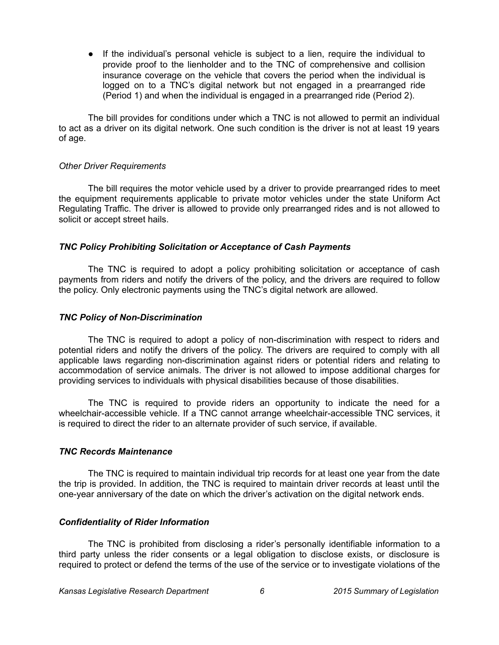● If the individual's personal vehicle is subject to a lien, require the individual to provide proof to the lienholder and to the TNC of comprehensive and collision insurance coverage on the vehicle that covers the period when the individual is logged on to a TNC's digital network but not engaged in a prearranged ride (Period 1) and when the individual is engaged in a prearranged ride (Period 2).

The bill provides for conditions under which a TNC is not allowed to permit an individual to act as a driver on its digital network. One such condition is the driver is not at least 19 years of age.

#### *Other Driver Requirements*

The bill requires the motor vehicle used by a driver to provide prearranged rides to meet the equipment requirements applicable to private motor vehicles under the state Uniform Act Regulating Traffic. The driver is allowed to provide only prearranged rides and is not allowed to solicit or accept street hails.

### *TNC Policy Prohibiting Solicitation or Acceptance of Cash Payments*

The TNC is required to adopt a policy prohibiting solicitation or acceptance of cash payments from riders and notify the drivers of the policy, and the drivers are required to follow the policy. Only electronic payments using the TNC's digital network are allowed.

### *TNC Policy of Non-Discrimination*

The TNC is required to adopt a policy of non-discrimination with respect to riders and potential riders and notify the drivers of the policy. The drivers are required to comply with all applicable laws regarding non-discrimination against riders or potential riders and relating to accommodation of service animals. The driver is not allowed to impose additional charges for providing services to individuals with physical disabilities because of those disabilities.

The TNC is required to provide riders an opportunity to indicate the need for a wheelchair-accessible vehicle. If a TNC cannot arrange wheelchair-accessible TNC services, it is required to direct the rider to an alternate provider of such service, if available.

#### *TNC Records Maintenance*

The TNC is required to maintain individual trip records for at least one year from the date the trip is provided. In addition, the TNC is required to maintain driver records at least until the one-year anniversary of the date on which the driver's activation on the digital network ends.

### *Confidentiality of Rider Information*

The TNC is prohibited from disclosing a rider's personally identifiable information to a third party unless the rider consents or a legal obligation to disclose exists, or disclosure is required to protect or defend the terms of the use of the service or to investigate violations of the